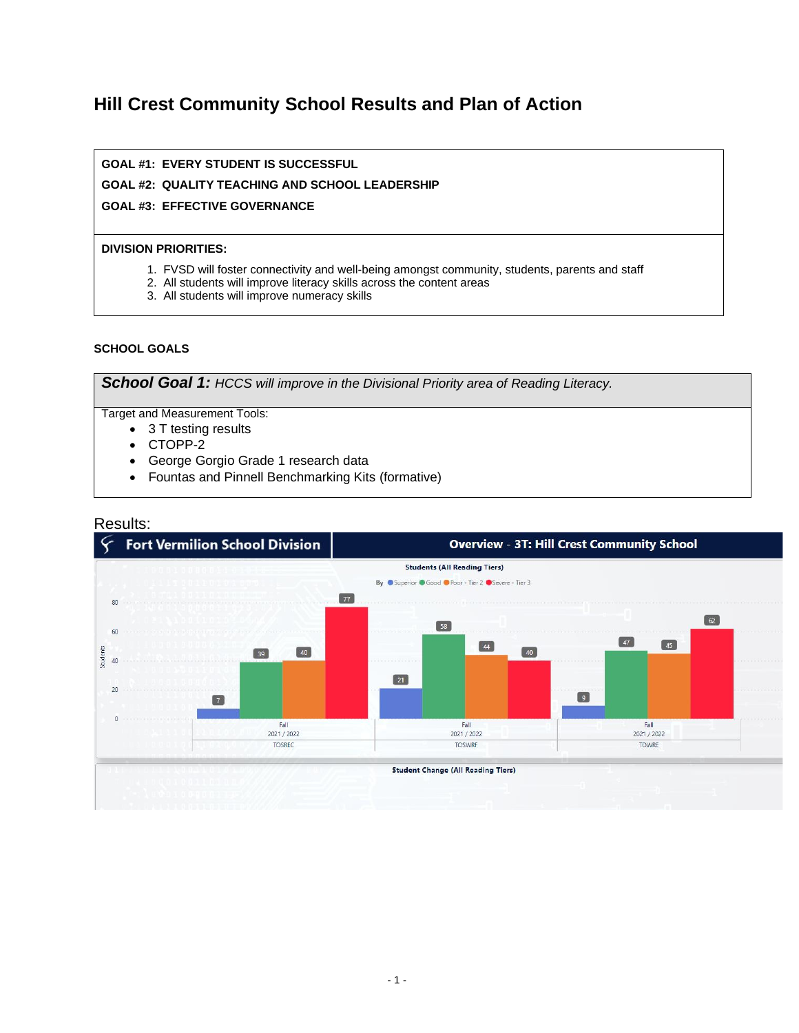# **Hill Crest Community School Results and Plan of Action**

### **GOAL #1: EVERY STUDENT IS SUCCESSFUL**

### **GOAL #2: QUALITY TEACHING AND SCHOOL LEADERSHIP**

#### **GOAL #3: EFFECTIVE GOVERNANCE**

#### **DIVISION PRIORITIES:**

- 1. FVSD will foster connectivity and well-being amongst community, students, parents and staff
- 2. All students will improve literacy skills across the content areas
- 3. All students will improve numeracy skills

#### **SCHOOL GOALS**

*School Goal 1: HCCS will improve in the Divisional Priority area of Reading Literacy.*

Target and Measurement Tools:

- 3 T testing results
- CTOPP-2
- George Gorgio Grade 1 research data
- Fountas and Pinnell Benchmarking Kits (formative)

### Results:

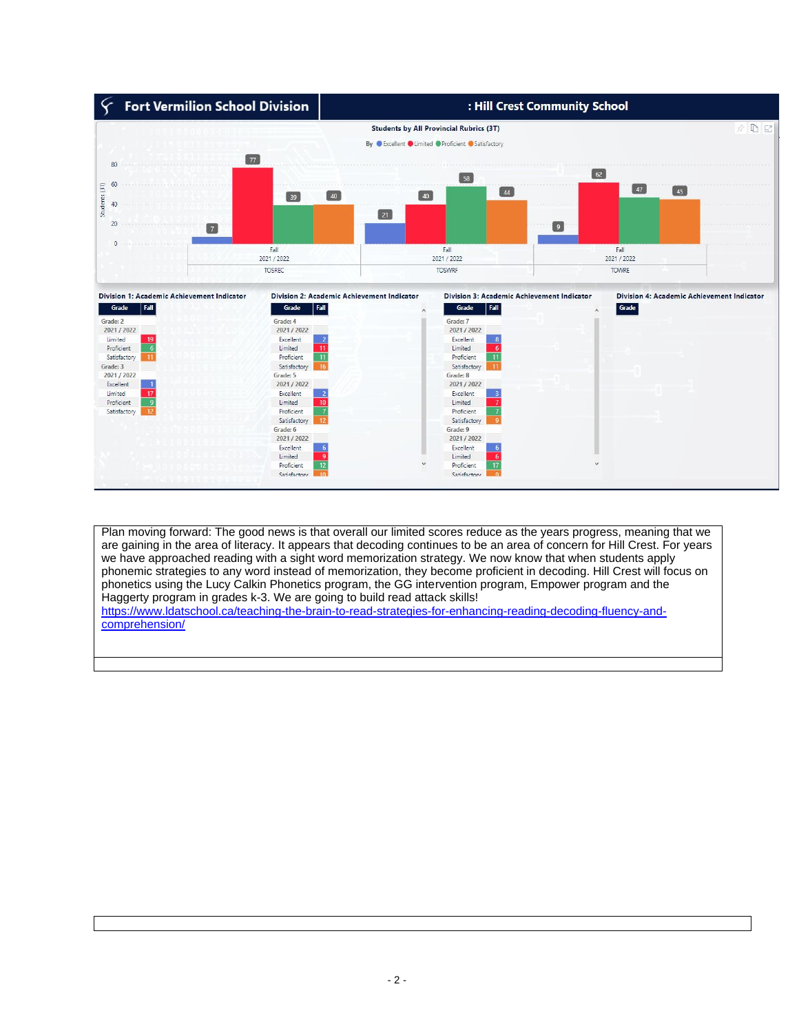

Plan moving forward: The good news is that overall our limited scores reduce as the years progress, meaning that we are gaining in the area of literacy. It appears that decoding continues to be an area of concern for Hill Crest. For years we have approached reading with a sight word memorization strategy. We now know that when students apply phonemic strategies to any word instead of memorization, they become proficient in decoding. Hill Crest will focus on phonetics using the Lucy Calkin Phonetics program, the GG intervention program, Empower program and the Haggerty program in grades k-3. We are going to build read attack skills! [https://www.ldatschool.ca/teaching-the-brain-to-read-strategies-for-enhancing-reading-decoding-fluency-and](https://www.ldatschool.ca/teaching-the-brain-to-read-strategies-for-enhancing-reading-decoding-fluency-and-comprehension/)[comprehension/](https://www.ldatschool.ca/teaching-the-brain-to-read-strategies-for-enhancing-reading-decoding-fluency-and-comprehension/)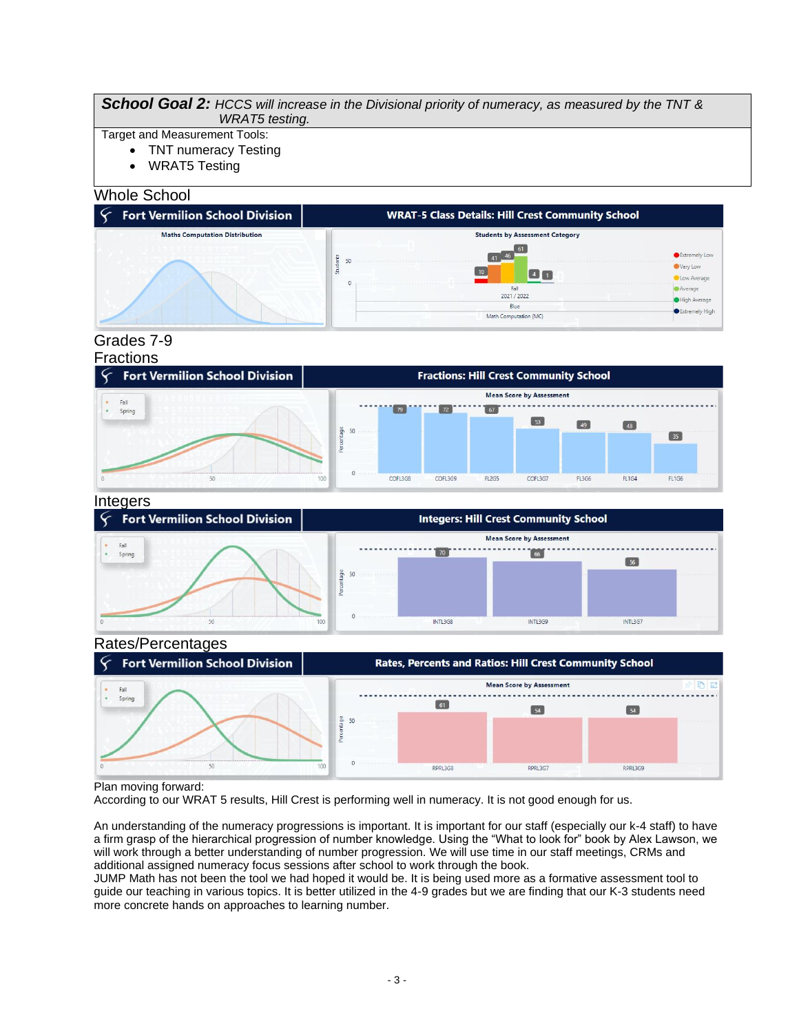#### *School Goal 2: HCCS will increase in the Divisional priority of numeracy, as measured by the TNT & WRAT5 testing.*

- Target and Measurement Tools:
	- TNT numeracy Testing
	- WRAT5 Testing

#### Whole School



## Grades 7-9

#### Fractions



# Integers



#### Rates/Percentages **Fort Vermilion School Division Rates, Percents and Ratios: Hill Crest Community School Mean Score by Assessment** · Spring  $61$  $\boxed{51}$  $\Box$ 50 RPRL3G8 RPRL3G7 RPRL3G9

#### Plan moving forward:

According to our WRAT 5 results, Hill Crest is performing well in numeracy. It is not good enough for us.

An understanding of the numeracy progressions is important. It is important for our staff (especially our k-4 staff) to have a firm grasp of the hierarchical progression of number knowledge. Using the "What to look for" book by Alex Lawson, we will work through a better understanding of number progression. We will use time in our staff meetings, CRMs and additional assigned numeracy focus sessions after school to work through the book.

JUMP Math has not been the tool we had hoped it would be. It is being used more as a formative assessment tool to guide our teaching in various topics. It is better utilized in the 4-9 grades but we are finding that our K-3 students need more concrete hands on approaches to learning number.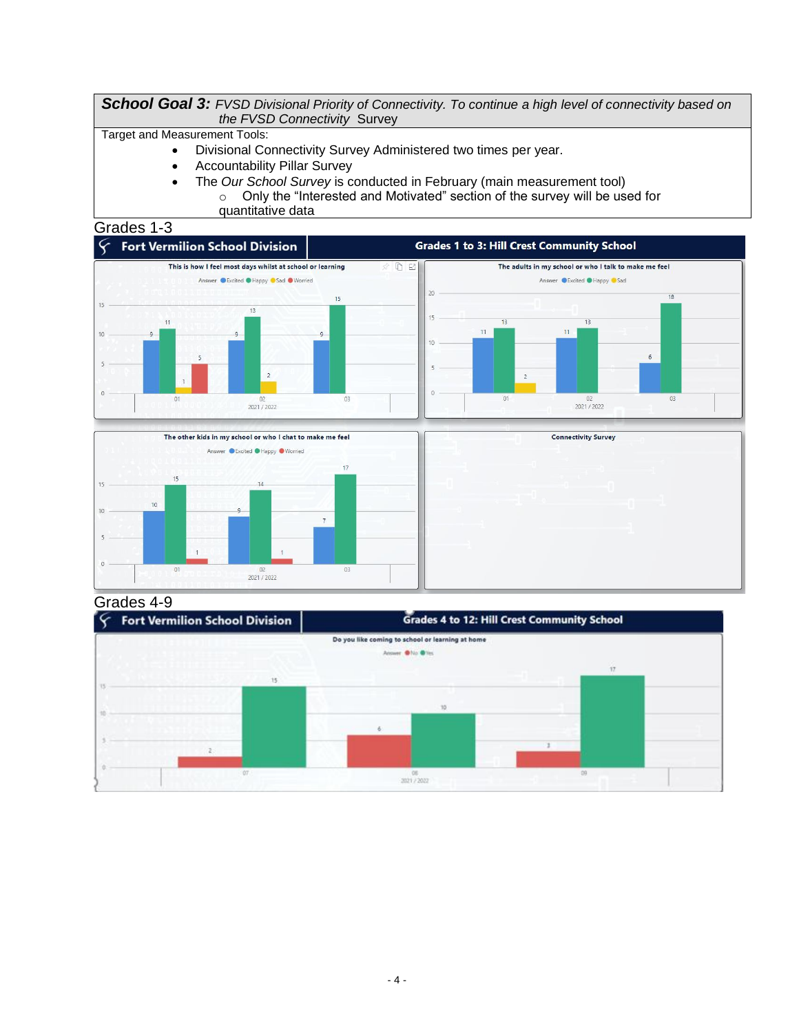*School Goal 3: FVSD Divisional Priority of Connectivity. To continue a high level of connectivity based on the FVSD Connectivity* Survey

Target and Measurement Tools:

• Divisional Connectivity Survey Administered two times per year.

 $\overline{7}$ 

03

 $02$ <br> $2021 / 2022$ 

- Accountability Pillar Survey
- The *Our School Survey* is conducted in February (main measurement tool) o Only the "Interested and Motivated" section of the survey will be used for quantitative data

### Grades 1-3



Grades 4-9

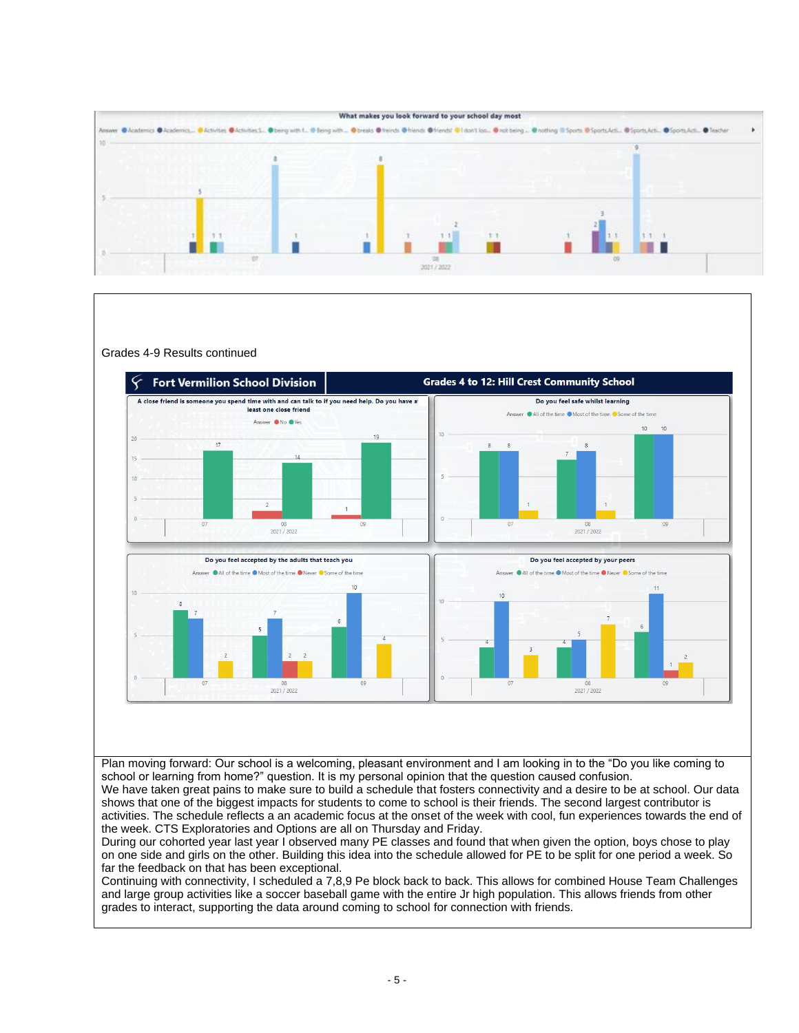

Grades 4-9 Results continued **Grades 4 to 12: Hill Crest Community School Fort Vermilion School Division** A close friend is someone you spend time with and can talk to if you need help. Do you have a Do you feel safe whilst learning least one close friend All of the time . Most of the time . Some of the time Answer ON<sub>O</sub> OYes  $10<sup>10</sup>$  $10$  $10<sup>10</sup>$  $\overline{17}$  $08$ <br> $2021 / 2022$ 08<br>2021 / 2022 Do you feel accepted by the adults that teach you Do you feel accepted by your peers All of the time **O** Most of the time **O** Never **O** Some of the time All of the time **O** Most of the time **O** Never C Some of the time  $\overline{11}$  $08$ <br> $2021 / 2022$ 2021 / 2022

Plan moving forward: Our school is a welcoming, pleasant environment and I am looking in to the "Do you like coming to school or learning from home?" question. It is my personal opinion that the question caused confusion.

We have taken great pains to make sure to build a schedule that fosters connectivity and a desire to be at school. Our data shows that one of the biggest impacts for students to come to school is their friends. The second largest contributor is activities. The schedule reflects a an academic focus at the onset of the week with cool, fun experiences towards the end of the week. CTS Exploratories and Options are all on Thursday and Friday.

During our cohorted year last year I observed many PE classes and found that when given the option, boys chose to play on one side and girls on the other. Building this idea into the schedule allowed for PE to be split for one period a week. So far the feedback on that has been exceptional.

Continuing with connectivity, I scheduled a 7,8,9 Pe block back to back. This allows for combined House Team Challenges and large group activities like a soccer baseball game with the entire Jr high population. This allows friends from other grades to interact, supporting the data around coming to school for connection with friends.